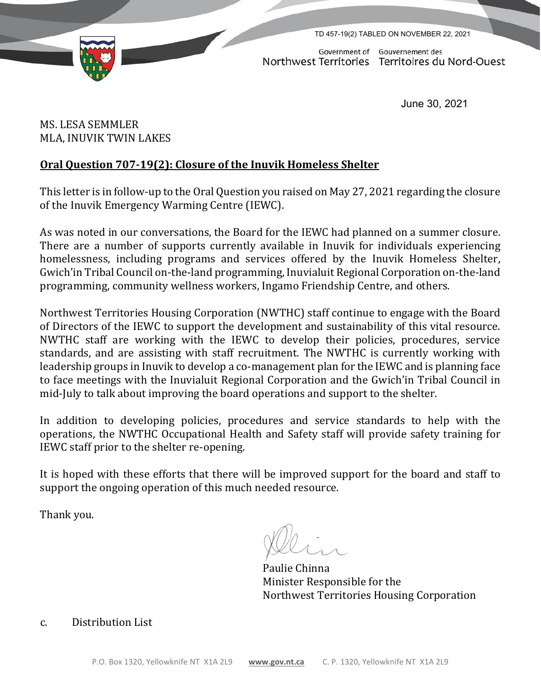

TD 457-19(2) TABLED ON NOVEMBER 22, 2021

Government of Gouvernement des Northwest Territories Territoires du Nord-Ouest

June 30, 2021

MS. LESA SEMMLER MLA, INUVIK TWIN LAKES

## **Oral Question 707-19(2): Closure of the Inuvik Homeless Shelter**

This letter is in follow-up to the Oral Question you raised on May 27, 2021 regarding the closure of the Inuvik Emergency Warming Centre (IEWC).

As was noted in our conversations, the Board for the IEWC had planned on a summer closure. There are a number of supports currently available in Inuvik for individuals experiencing homelessness, including programs and services offered by the Inuvik Homeless Shelter, Gwich'in Tribal Council on-the-land programming, Inuvialuit Regional Corporation on-the-land programming, community wellness workers, Ingamo Friendship Centre, and others.

Northwest Territories Housing Corporation (NWTHC) staff continue to engage with the Board of Directors of the IEWC to support the development and sustainability of this vital resource. NWTHC staff are working with the IEWC to develop their policies, procedures, service standards, and are assisting with staff recruitment. The NWTHC is currently working with leadership groups in Inuvik to develop a co-management plan for the IEWC and is planning face to face meetings with the Inuvialuit Regional Corporation and the Gwich'in Tribal Council in mid-July to talk about improving the board operations and support to the shelter.

In addition to developing policies, procedures and service standards to help with the operations, the NWTHC Occupational Health and Safety staff will provide safety training for IEWC staff prior to the shelter re-opening.

It is hoped with these efforts that there will be improved support for the board and staff to support the ongoing operation of this much needed resource.

Thank you.

Paulie Chinna Minister Responsible for the Northwest Territories Housing Corporation

## c. Distribution List